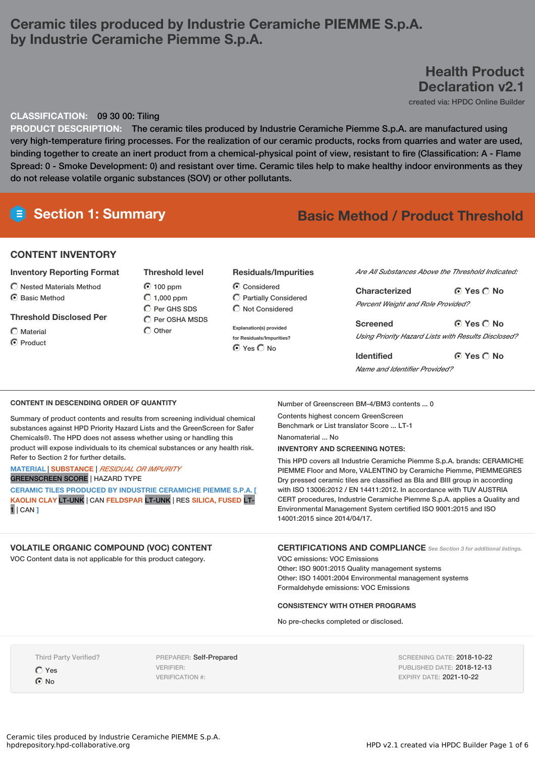# **Ceramic tiles produced by Industrie Ceramiche PIEMME S.p.A. by Industrie Ceramiche Piemme S.p.A.**

# **Health Product Declaration v2.1**

created via: HPDC Online Builder

## **CLASSIFICATION:** 09 30 00: Tiling

**PRODUCT DESCRIPTION:** The ceramic tiles produced by Industrie Ceramiche Piemme S.p.A. are manufactured using very high-temperature firing processes. For the realization of our ceramic products, rocks from quarries and water are used, binding together to create an inert product from a chemical-physical point of view, resistant to fire (Classification: A - Flame Spread: 0 - Smoke Development: 0) and resistant over time. Ceramic tiles help to make healthy indoor environments as they do not release volatile organic substances (SOV) or other pollutants.

# **Section 1: Summary Basic Method / Product Threshold**

## **CONTENT INVENTORY**

## **Inventory Reporting Format**

- $\bigcirc$  Nested Materials Method
- **⊙** Basic Method

### **Threshold Disclosed Per**

- Material
- C Product

# **Threshold level** 100 ppm  $\bigcirc$  1,000 ppm

 $\overline{O}$  Per GHS SDS Per OSHA MSDS  $\bigcirc$  Other

## **Residuals/Impurities**

Considered  $\bigcirc$  Partially Considered  $\bigcirc$  Not Considered

**Explanation(s) provided for Residuals/Impurities?** O Yes O No

*Are All Substances Above the Threshold Indicated:*

| Characterized                                       | $\odot$ Yes $\odot$ No |
|-----------------------------------------------------|------------------------|
| <b>Percent Weight and Role Provided?</b>            |                        |
| <b>Screened</b>                                     | $O$ Yes $O$ No         |
| Using Priority Hazard Lists with Results Disclosed? |                        |

**Yes No Identified** *Name and Identifier Provided?*

### **CONTENT IN DESCENDING ORDER OF QUANTITY**

Summary of product contents and results from screening individual chemical substances against HPD Priority Hazard Lists and the GreenScreen for Safer Chemicals®. The HPD does not assess whether using or handling this product will expose individuals to its chemical substances or any health risk. Refer to Section 2 for further details.

### **MATERIAL** | **SUBSTANCE** | *RESIDUAL OR IMPURITY* GREENSCREEN SCORE | HAZARD TYPE

**CERAMIC TILES PRODUCED BY INDUSTRIE CERAMICHE PIEMME S.P.A. [ KAOLIN CLAY** LT-UNK | CAN **FELDSPAR** LT-UNK | RES **SILICA, FUSED** LT-1 | CAN **]**

## **VOLATILE ORGANIC COMPOUND (VOC) CONTENT**

VOC Content data is not applicable for this product category.

Number of Greenscreen BM-4/BM3 contents ... 0

Contents highest concern GreenScreen Benchmark or List translator Score ... LT-1 Nanomaterial ... No

#### **INVENTORY AND SCREENING NOTES:**

This HPD covers all Industrie Ceramiche Piemme S.p.A. brands: CERAMICHE PIEMME Floor and More, VALENTINO by Ceramiche Piemme, PIEMMEGRES Dry pressed ceramic tiles are classified as BIa and BIII group in according with ISO 13006:2012 / EN 14411:2012. In accordance with TUV AUSTRIA CERT procedures, Industrie Ceramiche Piemme S.p.A. applies a Quality and Environmental Management System certified ISO 9001:2015 and ISO 14001:2015 since 2014/04/17.

**CERTIFICATIONS AND COMPLIANCE** *See Section <sup>3</sup> for additional listings.*

VOC emissions: VOC Emissions Other: ISO 9001:2015 Quality management systems Other: ISO 14001:2004 Environmental management systems Formaldehyde emissions: VOC Emissions

#### **CONSISTENCY WITH OTHER PROGRAMS**

No pre-checks completed or disclosed.

Third Party Verified?

Yes  $\odot$  No

PREPARER: Self-Prepared VERIFIER: VERIFICATION #:

SCREENING DATE: 2018-10-22 PUBLISHED DATE: 2018-12-13 EXPIRY DATE: 2021-10-22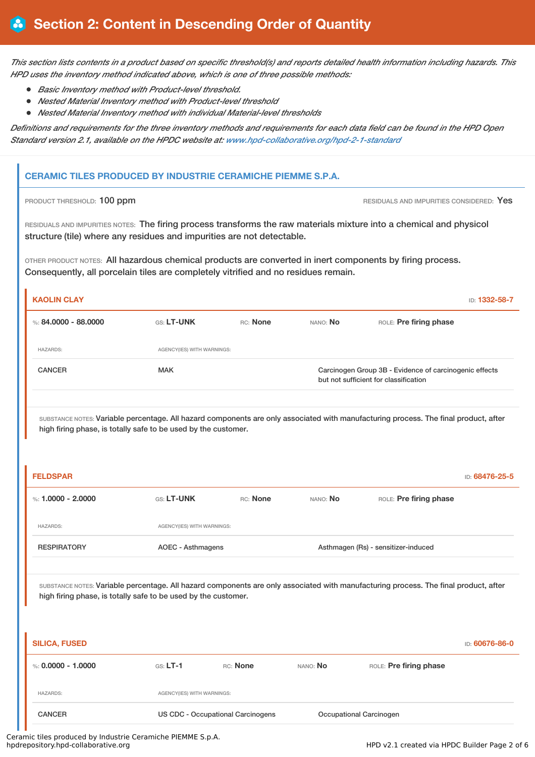This section lists contents in a product based on specific threshold(s) and reports detailed health information including hazards. This *HPD uses the inventory method indicated above, which is one of three possible methods:*

- *Basic Inventory method with Product-level threshold.*
- *Nested Material Inventory method with Product-level threshold*
- *Nested Material Inventory method with individual Material-level thresholds*

Definitions and requirements for the three inventory methods and requirements for each data field can be found in the HPD Open *Standard version 2.1, available on the HPDC website at: www.hpd-collaborative.org/hpd-2-1-standard*

# **CERAMIC TILES PRODUCED BY INDUSTRIE CERAMICHE PIEMME S.P.A.**

**PRODUCT THRESHOLD: 100 ppm PRODUCT THRESHOLD: 100 ppm** RESIDUALS AND IMPURITIES CONSIDERED: Yes

RESIDUALS AND IMPURITIES NOTES: The firing process transforms the raw materials mixture into a chemical and physicol structure (tile) where any residues and impurities are not detectable.

OTHER PRODUCT NOTES: All hazardous chemical products are converted in inert components by firing process. Consequently, all porcelain tiles are completely vitrified and no residues remain.

| <b>KAOLIN CLAY</b>     |                            |          |          | ID: 1332-58-7                                                                                   |
|------------------------|----------------------------|----------|----------|-------------------------------------------------------------------------------------------------|
| %: $84.0000 - 88.0000$ | GS: LT-UNK                 | RC: None | NANO: No | ROLE: Pre firing phase                                                                          |
| <b>HAZARDS:</b>        | AGENCY(IES) WITH WARNINGS: |          |          |                                                                                                 |
| <b>CANCER</b>          | <b>MAK</b>                 |          |          | Carcinogen Group 3B - Evidence of carcinogenic effects<br>but not sufficient for classification |
|                        |                            |          |          |                                                                                                 |

SUBSTANCE NOTES: Variable percentage. All hazard components are only associated with manufacturing process. The final product, after high firing phase, is totally safe to be used by the customer.

| <b>FELDSPAR</b>    |                            |          |          |                                     | ID: 68476-25-5 |
|--------------------|----------------------------|----------|----------|-------------------------------------|----------------|
| %: 1.0000 - 2.0000 | <b>GS: LT-UNK</b>          | RC: None | NANO: No | ROLE: Pre firing phase              |                |
| <b>HAZARDS:</b>    | AGENCY(IES) WITH WARNINGS: |          |          |                                     |                |
| <b>RESPIRATORY</b> | AOEC - Asthmagens          |          |          | Asthmagen (Rs) - sensitizer-induced |                |
|                    |                            |          |          |                                     |                |

SUBSTANCE NOTES: Variable percentage. All hazard components are only associated with manufacturing process. The final product, after high firing phase, is totally safe to be used by the customer.

| <b>SILICA, FUSED</b> |                            |                                          |          |                         | ID: 60676-86-0 |
|----------------------|----------------------------|------------------------------------------|----------|-------------------------|----------------|
| %: $0.0000 - 1.0000$ | $GS: LT-1$                 | RC: None                                 | NANO: No | ROLE: Pre firing phase  |                |
| <b>HAZARDS:</b>      | AGENCY(IES) WITH WARNINGS: |                                          |          |                         |                |
| <b>CANCER</b>        |                            | <b>US CDC - Occupational Carcinogens</b> |          | Occupational Carcinogen |                |

Ceramic tiles produced by Industrie Ceramiche PIEMME S.p.A.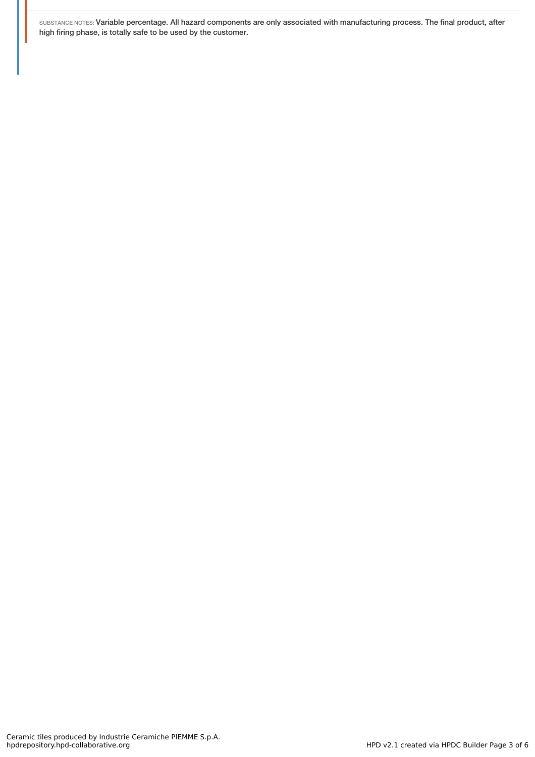SUBSTANCE NOTES: Variable percentage. All hazard components are only associated with manufacturing process. The final product, after high firing phase, is totally safe to be used by the customer.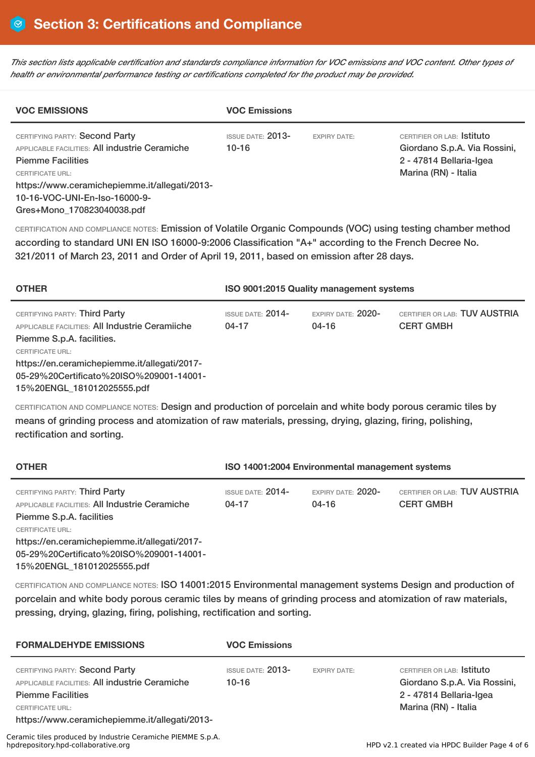This section lists applicable certification and standards compliance information for VOC emissions and VOC content. Other types of *health or environmental performance testing or certifications completed for the product may be provided.*

| <b>VOC EMISSIONS</b>                                                                                                                    | <b>VOC Emissions</b>              |                     |                                                                                                              |
|-----------------------------------------------------------------------------------------------------------------------------------------|-----------------------------------|---------------------|--------------------------------------------------------------------------------------------------------------|
| CERTIFYING PARTY: Second Party<br><b>APPLICABLE FACILITIES: All industrie Ceramiche</b><br><b>Piemme Facilities</b><br>CERTIFICATE URL: | <b>ISSUE DATE: 2013-</b><br>10-16 | <b>EXPIRY DATE:</b> | CERTIFIER OR LAB: Stituto<br>Giordano S.p.A. Via Rossini,<br>2 - 47814 Bellaria-Igea<br>Marina (RN) - Italia |
| https://www.ceramichepiemme.it/allegati/2013-                                                                                           |                                   |                     |                                                                                                              |
| 10-16-VOC-UNI-En-Iso-16000-9-                                                                                                           |                                   |                     |                                                                                                              |
| Gres+Mono 170823040038.pdf                                                                                                              |                                   |                     |                                                                                                              |

CERTIFICATION AND COMPLIANCE NOTES: Emission of Volatile Organic Compounds (VOC) using testing chamber method according to standard UNI EN ISO 16000-9:2006 Classification "A+" according to the French Decree No. 321/2011 of March 23, 2011 and Order of April 19, 2011, based on emission after 28 days.

| <b>OTHER</b>                                                                                                                                                                                    | ISO 9001:2015 Quality management systems         |                                   |                                                   |
|-------------------------------------------------------------------------------------------------------------------------------------------------------------------------------------------------|--------------------------------------------------|-----------------------------------|---------------------------------------------------|
| CERTIFYING PARTY: Third Party<br><b>APPLICABLE FACILITIES: All Industrie Ceramiiche</b><br>Piemme S.p.A. facilities.<br><b>CERTIFICATE URL:</b><br>https://en.ceramichepiemme.it/allegati/2017- | <b>ISSUE DATE: <math>2014-</math></b><br>$04-17$ | EXPIRY DATE: $2020-$<br>$04 - 16$ | CERTIFIER OR LAB: TUV AUSTRIA<br><b>CERT GMBH</b> |
| 05-29%20Certificato%20ISO%209001-14001-<br>15%20ENGL 181012025555.pdf                                                                                                                           |                                                  |                                   |                                                   |

CERTIFICATION AND COMPLIANCE NOTES: Design and production of porcelain and white body porous ceramic tiles by means of grinding process and atomization of raw materials, pressing, drying, glazing, firing, polishing, rectification and sorting.

| <b>OTHER</b>                                                                                                                                                                                  | ISO 14001:2004 Environmental management systems |                             |                                                   |
|-----------------------------------------------------------------------------------------------------------------------------------------------------------------------------------------------|-------------------------------------------------|-----------------------------|---------------------------------------------------|
| CERTIFYING PARTY: Third Party<br><b>APPLICABLE FACILITIES: All Industrie Ceramiche</b><br>Piemme S.p.A. facilities<br><b>CERTIFICATE URL:</b><br>https://en.ceramichepiemme.it/allegati/2017- | ISSUE DATE: 2014-<br>$04-17$                    | EXPIRY DATE: 2020-<br>04-16 | CERTIFIER OR LAB: TUV AUSTRIA<br><b>CERT GMBH</b> |
| 05-29%20Certificato%20ISO%209001-14001-                                                                                                                                                       |                                                 |                             |                                                   |

15%20ENGL\_181012025555.pdf

CERTIFICATION AND COMPLIANCE NOTES: ISO 14001:2015 Environmental management systems Design and production of porcelain and white body porous ceramic tiles by means of grinding process and atomization of raw materials, pressing, drying, glazing, firing, polishing, rectification and sorting.

| <b>FORMALDEHYDE EMISSIONS</b>                                                                                       | <b>VOC Emissions</b>              |                     |                                                                                       |
|---------------------------------------------------------------------------------------------------------------------|-----------------------------------|---------------------|---------------------------------------------------------------------------------------|
| CERTIFYING PARTY: Second Party<br><b>APPLICABLE FACILITIES: All industrie Ceramiche</b><br><b>Piemme Facilities</b> | <b>ISSUE DATE: 2013-</b><br>10-16 | <b>EXPIRY DATE:</b> | CERTIFIER OR LAB: Istituto<br>Giordano S.p.A. Via Rossini,<br>2 - 47814 Bellaria-Igea |
| <b>CERTIFICATE URL:</b><br>https://www.ceramichepiemme.it/allegati/2013-                                            |                                   |                     | Marina (RN) - Italia                                                                  |
| Ceramic tiles produced by Industrie Ceramiche PIEMME S.p.A.<br>hpdrepository.hpd-collaborative.org                  |                                   |                     | HPD v2.1 created via HPDC Builder Page 4 of 6                                         |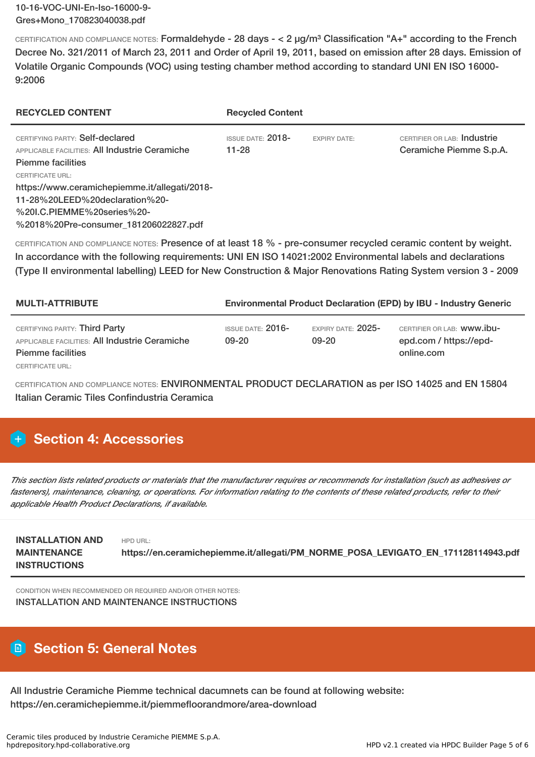CERTIFICATION AND COMPLIANCE NOTES: Formaldehyde - 28 days - < 2 µg/m³ Classification "A+" according to the French Decree No. 321/2011 of March 23, 2011 and Order of April 19, 2011, based on emission after 28 days. Emission of Volatile Organic Compounds (VOC) using testing chamber method according to standard UNI EN ISO 16000- 9:2006

| <b>RECYCLED CONTENT</b>                                                                                       | <b>Recycled Content</b>           |                     |                                                        |
|---------------------------------------------------------------------------------------------------------------|-----------------------------------|---------------------|--------------------------------------------------------|
| CERTIFYING PARTY: Self-declared<br>APPLICABLE FACILITIES: All Industrie Ceramiche<br><b>Piemme facilities</b> | <b>ISSUE DATE: 2018-</b><br>11-28 | <b>EXPIRY DATE:</b> | CERTIFIER OR LAB: Industrie<br>Ceramiche Piemme S.p.A. |
| <b>CERTIFICATE URL:</b>                                                                                       |                                   |                     |                                                        |
| https://www.ceramichepiemme.it/allegati/2018-                                                                 |                                   |                     |                                                        |
| 11-28%20LEED%20declaration%20-                                                                                |                                   |                     |                                                        |
| %20I.C.PIEMME%20series%20-                                                                                    |                                   |                     |                                                        |
| %2018%20Pre-consumer 181206022827.pdf                                                                         |                                   |                     |                                                        |

CERTIFICATION AND COMPLIANCE NOTES: Presence of at least 18 % - pre-consumer recycled ceramic content by weight. In accordance with the following requirements: UNI EN ISO 14021:2002 Environmental labels and declarations (Type II environmental labelling) LEED for New Construction & Major Renovations Rating System version 3 - 2009

| <b>MULTI-ATTRIBUTE</b>                                                                                             | <b>Environmental Product Declaration (EPD) by IBU - Industry Generic</b> |                                   |                                                                    |
|--------------------------------------------------------------------------------------------------------------------|--------------------------------------------------------------------------|-----------------------------------|--------------------------------------------------------------------|
| CERTIFYING PARTY: Third Party<br><b>APPLICABLE FACILITIES: All Industrie Ceramiche</b><br><b>Piemme facilities</b> | ISSUE DATE: 2016-<br>09-20                                               | EXPIRY DATE: $2025-$<br>$09 - 20$ | CERTIFIER OR LAB: WWW.IDU-<br>epd.com / https://epd-<br>online.com |
| CERTIFICATE URL:                                                                                                   |                                                                          |                                   |                                                                    |

CERTIFICATION AND COMPLIANCE NOTES: ENVIRONMENTAL PRODUCT DECLARATION as per ISO 14025 and EN 15804 Italian Ceramic Tiles Confindustria Ceramica

# **Section 4: Accessories**

This section lists related products or materials that the manufacturer requires or recommends for installation (such as adhesives or fasteners), maintenance, cleaning, or operations. For information relating to the contents of these related products, refer to their *applicable Health Product Declarations, if available.*

| <b>INSTALLATION AND</b> | HPD URL:                                                                          |
|-------------------------|-----------------------------------------------------------------------------------|
| <b>MAINTENANCE</b>      | https://en.ceramichepiemme.it/allegati/PM_NORME_POSA_LEVIGATO_EN_171128114943.pdf |
| <b>INSTRUCTIONS</b>     |                                                                                   |

CONDITION WHEN RECOMMENDED OR REQUIRED AND/OR OTHER NOTES: INSTALLATION AND MAINTENANCE INSTRUCTIONS

# **Section 5: General Notes**

All Industrie Ceramiche Piemme technical dacumnets can be found at following website: https://en.ceramichepiemme.it/piemmefloorandmore/area-download